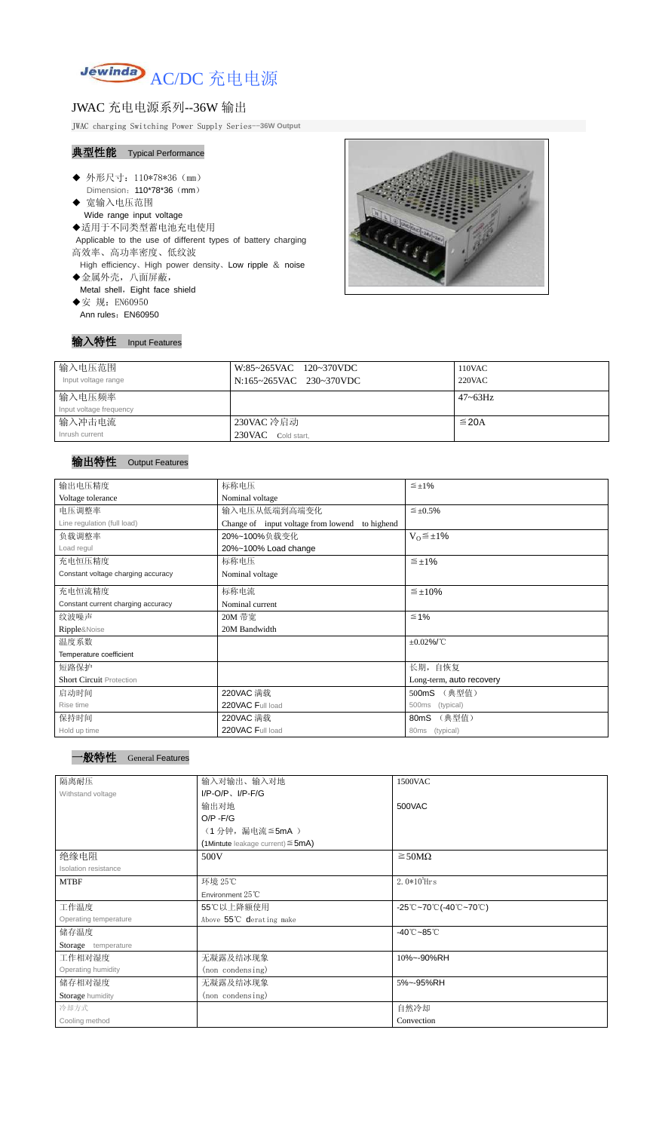

# JWAC 充电电源系列--36W 输出

JWAC charging Switching Power Supply Series--**36W Output**

## 典型性能 Typical Performance

- ◆ 外形尺寸: 110\*78\*36 (mm) Dimension: 110\*78\*36 (mm)
- ◆ 宽输入电压范围 Wide range input voltage
- ◆适用于不同类型蓄电池充电使用 Applicable to the use of different types of battery charging
- 高效率、高功率密度、低纹波 High efficiency、High power density、Low ripple & noise
- ◆金属外壳,八面屏蔽, Metal shell, Eight face shield
- ◆安 规: EN60950 Ann rules: EN60950



| 输入特性 Input Features |
|---------------------|
|                     |

| 输入电压范围                  | W:85~265VAC 120~370VDC  | 110VAC          |
|-------------------------|-------------------------|-----------------|
| Input voltage range     | N:165~265VAC 230~370VDC | 220VAC          |
| 输入电压频率                  |                         | $47 \sim 63$ Hz |
| Input voltage frequency |                         |                 |
| 输入冲击电流                  | 230VAC 冷启动              | $\leq$ 20A      |
| Inrush current          | 230VAC Cold start,      |                 |

## 输出特性 Output Features

## 一般特性 General Features

| 输出电压精度                             | 标称电压                                              | $\leq \pm 1\%$           |  |
|------------------------------------|---------------------------------------------------|--------------------------|--|
| Voltage tolerance                  | Nominal voltage                                   |                          |  |
| 电压调整率                              | 输入电压从低端到高端变化                                      | $\leq \pm 0.5\%$         |  |
| Line regulation (full load)        | Change of input voltage from lowend<br>to highend |                          |  |
| 负载调整率                              | 20%~100%负载变化                                      | $V_0 \leq \pm 1\%$       |  |
| Load regul                         | 20%~100% Load change                              |                          |  |
| 充电恒压精度                             | 标称电压                                              | $\leq \pm 1\%$           |  |
| Constant voltage charging accuracy | Nominal voltage                                   |                          |  |
| 充电恒流精度                             | 标称电流                                              | $\leq \pm 10\%$          |  |
| Constant current charging accuracy | Nominal current                                   |                          |  |
| 纹波噪声                               | 20M 带宽                                            | $≤ 1%$                   |  |
| Ripple&Noise                       | 20M Bandwidth                                     |                          |  |
| 温度系数                               |                                                   | $\pm 0.02\%$ /°C         |  |
| Temperature coefficient            |                                                   |                          |  |
| 短路保护                               |                                                   | 长期, 自恢复                  |  |
| <b>Short Circuit Protection</b>    |                                                   | Long-term, auto recovery |  |
| 启动时间                               | 220VAC 满载                                         | (典型值)<br>500mS           |  |
| Rise time                          | 220VAC Full load                                  | (typical)<br>500ms       |  |
| 保持时间                               | 220VAC 满载                                         | (典型值)<br>80mS            |  |
| Hold up time                       | 220VAC Full load                                  | 80ms (typical)           |  |
|                                    |                                                   |                          |  |

| 隔离耐压                  | 输入对输出、输入对地                                | 1500VAC                                                                               |
|-----------------------|-------------------------------------------|---------------------------------------------------------------------------------------|
| Withstand voltage     | $I/P$ -O/P, $I/P$ -F/G                    |                                                                                       |
|                       | 输出对地                                      | 500VAC                                                                                |
|                       | $O/P - F/G$                               |                                                                                       |
|                       | (1分钟,漏电流≦5mA)                             |                                                                                       |
|                       | $(1$ Mintute leakage current) $\leq$ 5mA) |                                                                                       |
| 绝缘电阻                  | 500V                                      | $\geq$ 50M $\Omega$                                                                   |
| Isolation resistance  |                                           |                                                                                       |
| <b>MTBF</b>           | 环境 25℃                                    | $2.0*105$ Hrs                                                                         |
|                       | Environment $25^{\circ}$ C                |                                                                                       |
| 工作温度                  | 55℃以上降额使用                                 | $-25^{\circ}\text{C}-70^{\circ}\text{C}$ (-40 $^{\circ}\text{C}-70^{\circ}\text{C}$ ) |
| Operating temperature | Above 55°C derating make                  |                                                                                       |
| 储存温度                  |                                           | $-40^{\circ}$ C $-85^{\circ}$ C                                                       |
| Storage temperature   |                                           |                                                                                       |
| 工作相对湿度                | 无凝露及结冰现象                                  | 10%~-90%RH                                                                            |
| Operating humidity    | (non condensing)                          |                                                                                       |
| 储存相对湿度                | 无凝露及结冰现象                                  | 5%~-95%RH                                                                             |
| Storage humidity      | (non condensing)                          |                                                                                       |
| 冷却方式                  |                                           | 自然冷却                                                                                  |
| Cooling method        |                                           | Convection                                                                            |